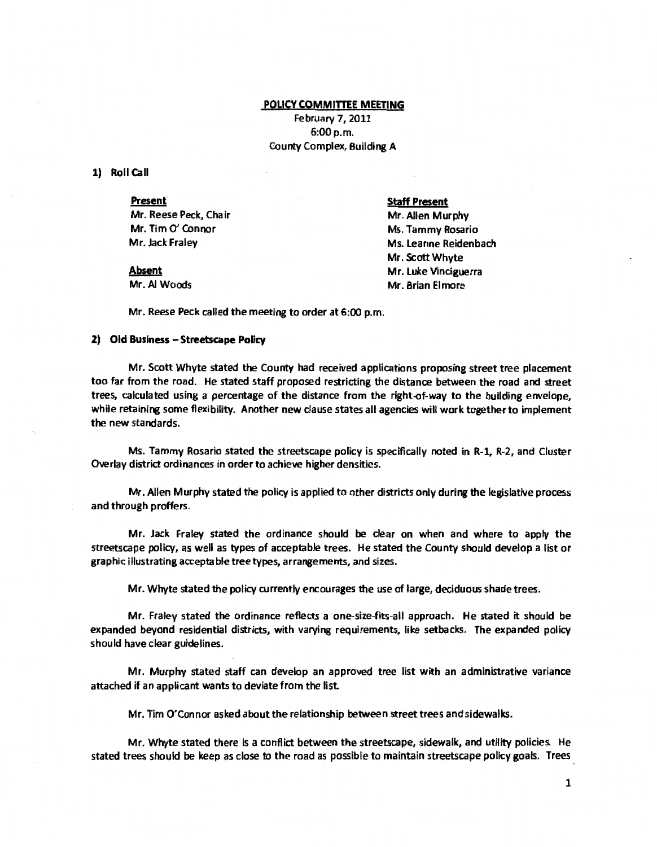# POLICY COMMITTEE MEETING

February 7. 2011 6:00 p.m. County Complex, Building A

1) Roll Call

Present Mr. Reese Peck, Chair Mr. Tim 0' Connor Mr. Jack Fraley

# Staff Present

Mr. Allen Murphy Ms. Tammy Rosario Ms. leanne Reidenbach Mr. Scott Whyte Mr. luke Vinciguerra Mr. Brian Elmore

Absent Mr. AI Woods

Mr. Reese Peck called the meeting to order at 6:00 p.m.

# 2) Old Business - Streetscape Policy

Mr. Scott Whyte stated the County had received applications proposing street tree placement too far from the road. He stated staff proposed restricting the distance between the road and street trees, calculated using a percentage of the distance from the right-of-way to the building envelope, while retaining some flexibility. Another new clause states all agencies will work together to implement the new standards.

Ms. Tammy Rosario stated the streetscape policy is specifically noted in R-1, R-2, and Cluster Overlay district ordinances in order to achieve higher densities.

Mr. Allen Murphy stated the policy is applied to other districts only during the legislative process and through proffers.

Mr. Jack Fraley stated the ordinance should be clear on when and where to apply the streetscape policy, as well as types of acceptable trees. He stated the County should develop a list or graphic illustrating acceptable tree types, arrangements, and sizes.

Mr. Whyte stated the policy currently encourages the use of large, deciduous shade trees.

Mr. Fraley stated the ordinance reflects a one-size-fits-all approach. He stated it should be expanded beyond residential districts, with varying requirements, like setbacks. The expanded policy should have clear guidelines.

Mr. Murphy stated staff can develop an approved tree list with an administrative variance attached if an applicant wants to deviate from the list

Mr. Tim O'Connor asked about the relationship between street trees and sidewalks.

Mr. Whyte stated there is a conflict between the streetscape, sidewalk, and utility policies. He stated trees should be keep as close to the road as possible to maintain streetscape policy goals. Trees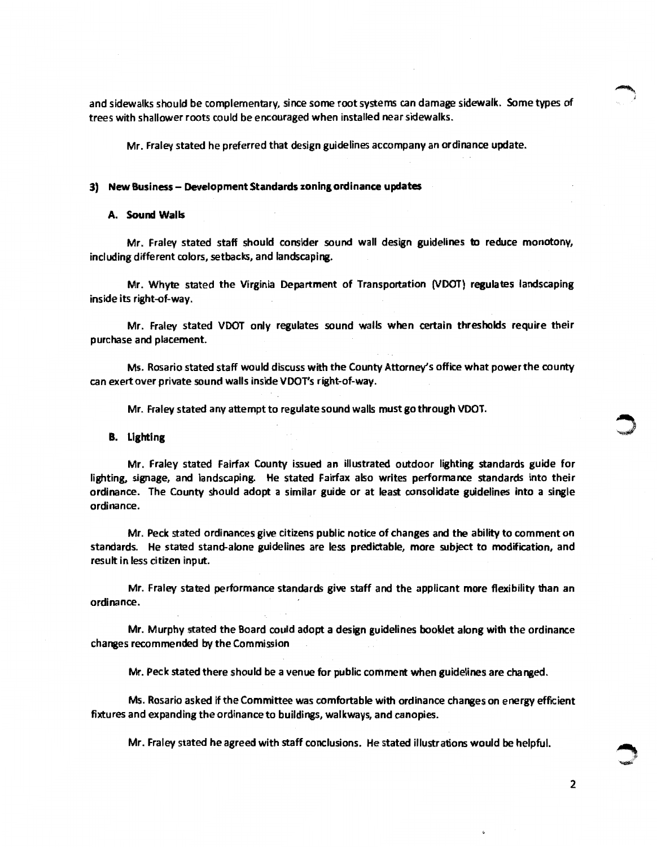and sidewalks should be complementary, since some root systems can damage sidewalk. Some types of trees with shallower roots could be encouraged when installed near sidewalks.

Mr. Fraley stated he preferred that design guidelines accompany an ordinance update.

### 3) New Business - Development Standards zoning ordinance updates

### A. Sound Walls

Mr. Fraley stated staff should consider sound wall design guidelines to reduce monotony, including different colors, setbacks, and landscaping.

Mr. Whyte stated the Virginia Department of Transportation (VDOT) regulates landscaping inside its right-of-way.

Mr. Fraley stated VDOT only regulates sound walls when certain thresholds require their purchase and placement.

Ms. Rosario stated staff would discuss with the County Attorney's office what power the county can exert over private sound walls inside VDOT's right-of-way.

Mr. Fraley stated any attempt to regulate sound walls must go through VDOT.

#### B. Lighting

Mr. Fraley stated Fairfax County issued an illustrated outdoor lighting standards guide for lighting. signage, and landscaping. He stated Fairfax also writes performance standards into their ordinance. The County should adopt a similar guide or at least consolidate guidelines into a single ordinance.

Mr. Peck stated ordinances give citizens public notice of changes and the ability to comment on standards. He stated stand-alone guidelines are less predictable, more subject to modification, and result in less citizen input.

Mr. Fraley stated performance standards give staff and the applicant more flexibility than an ordinance.

Mr. Murphy stated the Board could adopt a design guidelines booklet along with the ordinance changes recommended by the Commission

Mr. Peck stated there should be a venue for public comment when guidelines are changed.

Ms. Rosario asked if the Committee was comfortable with ordinance changes on energy effiCient fixtures and expanding the ordinance to buildings, walkways, and canopies.

Mr. Fraley stated he agreed with staff conclusions. He stated illustrations would be helpful.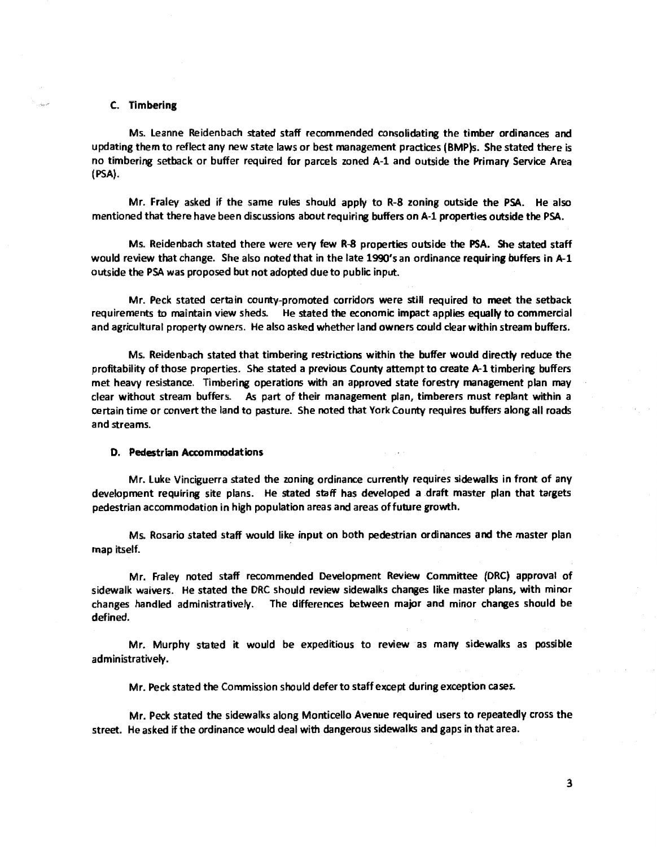# C. Timbering

.<br>Sinast

Ms. leanne Reidenbach stated staff recommended consolidating the timber ordinances and updating them to reflect any new state laws or best management practices {BMP)s. She stated there is no timbering setback or buffer required for parcels zoned A-1 and outside the Primary Service Area {PSA).

Mr. Fraley asked if the same rules should apply to R-8 zoning outside the PSA. He also mentioned that there have been discussions about requiring buffers on A-1 properties outside the PSA.

Ms. Reidenbach stated there were very few R-8 properties outside the PSA. She stated staff would review that change. She also noted that in the late 1990's an ordinance requiring buffers in A-1 outside the PSA was proposed but not adopted due to public input.

Mr. Peck stated certain county-promoted corridors were still required to meet the setback requirements to maintain view sheds. He stated the economic impact applies equallv to commercial and agricultural property owners. He also asked whether land owners could clear within stream buffers.

Ms. Reidenbach stated that timbering restrictions within the buffer would directlv reduce the profitability of those properties. She stated a previous County attempt to create A-1 timbering buffers met heavy resistance. Timbering operations with an approved state forestry management plan may clear without stream buffers. As part of their management plan, timberers must replant within a certain time or convert the land to pasture. She noted that York County requires buffers along all roads and streams.

### D. Pedestrian Accommodations

Mr. luke Vinciguerra stated the zoning ordinance currentlv requires sidewalks in front of any development requiring site plans. He stated staff has developed a draft master plan that targets pedestrian accommodation in high papulation areas and areas affuture growth.

Ms. Rosario stated staff would like input on both pedestrian ordinances and the master plan map itself.

Mr. Fraley noted staff recommended Development Review Committee (DRC) approval of sidewalk waivers. He stated the DRC should review sidewalks changes like master plans, with minor changes handled administratively. The differences between major and minor changes should be defined.

Mr. Murphy stated it would be expeditious to review as many sidewalks as possible administratively.

Mr. Peck stated the Commission should defer to staff except during exception cases.

Mr. Peck stated the sidewalks along Monticello Avenue required users to repeatedly crass the street. He asked If the ordinance would deal with dangerous sidewalks and gaps in that area.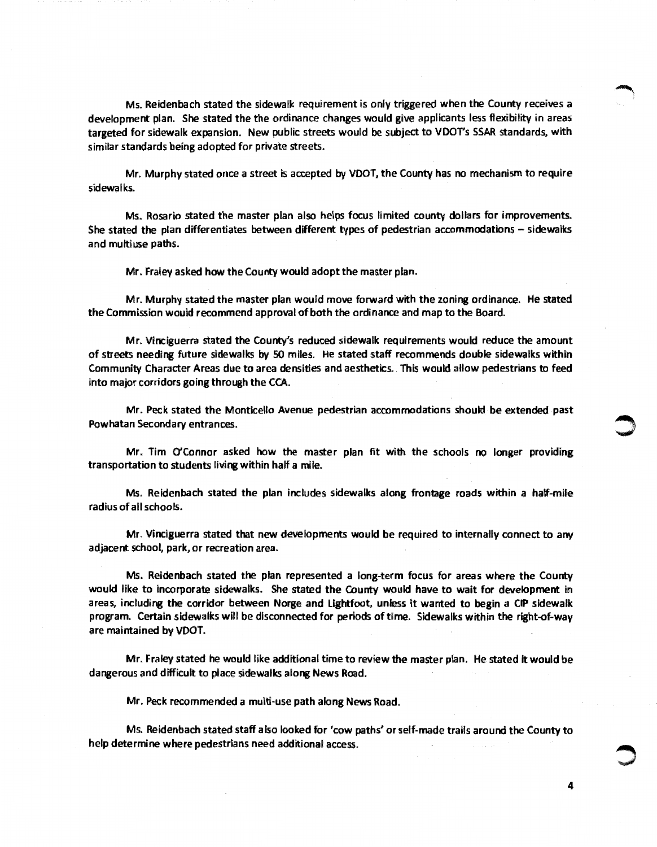Ms. Reidenbach stated the sidewalk requirement is only triggered when the County receives a development plan. She stated the the ordinance changes would give applicants less flexibility in areas targeted for sidewalk expansion. New public streets would be subject to VDOT's SSAR standards, with similar standards being adopted for private streets.

Mr. Murphy stated once a street is accepted by VDOT, the County has no mechanism to require sidewalks.

Ms. Rosario stated the master plan also helps focus limited county dollars for improvements. She stated the plan differentiates between different types of pedestrian accommodations- sidewalks and multiuse paths.

Mr. Fraley asked how the County would adopt the master plan.

Mr. Murphy stated the master plan would move forward with the zoning ordinance. He stated the Commission would recommend approval of both the ordinance and map to the Board.

Mr. Vinciguerra stated the County's reduced sidewalk requirements would reduce the amount of streets needing future sidewalks by SO miles. He stated staff recommends double sidewalks within Community Character Areas due to area densities and aesthetics. This would allow pedestrians to feed into major corridors going through the CCA.

Mr. Peck stated the Monticello Avenue pedestrian accommodations should be extended past Powhatan Secondary entrances. ~

Mr. Tim O'Connor asked how the master plan fit with the schools no longer providing transportation to students living within half a mile.

Ms. Reidenbach stated the plan includes sidewalks along frontage roads within a half-mile radius of all schools.

Mr. Vinciguerra stated that new developments would be required to internally connect to any adjacent school, park, or recreation area.

Ms. Reidenbach stated the plan represented a long-term focus for areas where the County would like to incorporate sidewalks. She stated the County would have to wait for development in areas, including the corridor between Norge and lightfoot, unless it wanted to begin a CIP sidewalk program. Certain sidewalks will be disconnected for periods oftime. Sidewalks within the right-of-way are maintained by VDOT.

Mr. Fraley stated he would like additional time to review the master plan. He stated it would be dangerous and difficult to place sidewalks along News Road.

Mr. Peck recommended a multi-use path along News Road.

Ms. Reidenbach stated staff also looked for 'cow paths' or self-made trails around the County to help determine where pedestrians need additional access.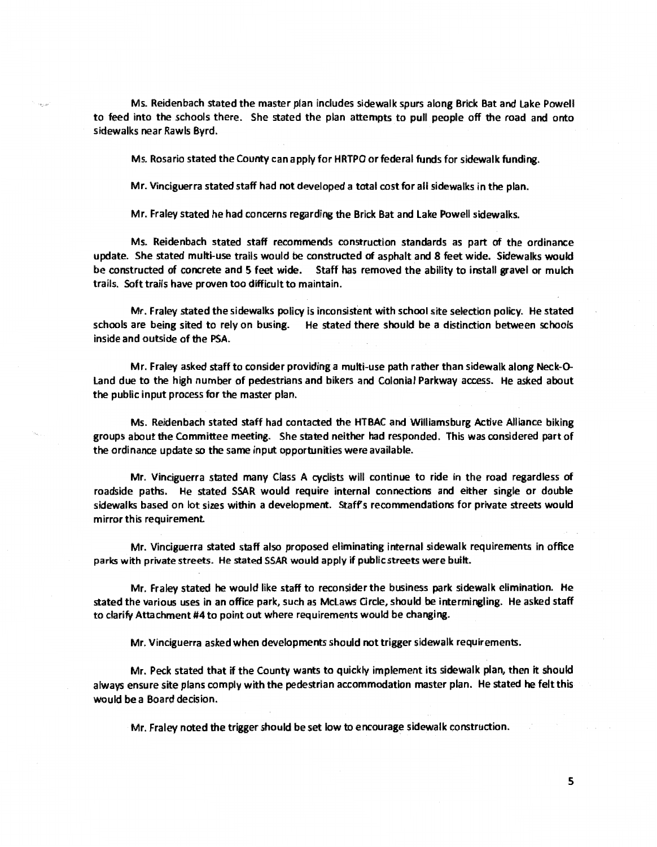Ms. Reidenbach stated the master plan includes sidewalk spurs along Brick Bat and Lake Powell to feed into the schools there. She stated the plan attempts to pull people off the road and onto sidewalks near Rawls Byrd.

Ms. Rosario stated the County can apply for HRTPO or federal funds for sidewalk funding.

Mr. Vinciguerra stated staff had not developed a total cost for all sidewalks in the plan.

Mr. Fraley stated he had concerns regarding the Brick Bat and lake Powell sidewalks.

Ms. Reidenbach stated staff recommends construction standards as part of the ordinance update. She stated multi-use trails would be constructed of asphalt and *8* feet wide. Sidewalks would be constructed of concrete and 5 feet wide. Staff has removed the ability to install gravel or mulch trails. Soft trails have proven too difficult to maintain.

Mr. Fraley stated the sidewalks policy is inconsistent with school site selection policy. He stated schools are being sited to rely on busing. He stated there should be a distinction between schools inside and outside of the PSA.

Mr. Fraley asked staff to consider providing a multi-use path rather than sidewalk along Neck-0- Land due to the high number of pedestrians and bikers and Colonial Parkway access. He asked about the public input process for the master plan.

Ms. Reidenbach stated staff had contacted the HTBAC and Williamsburg Active Alliance biking groups about the Committee meeting. She stated neither had responded. This was considered part of the ordinance update so the same input opportunities were available.

Mr. Vinciguerra stated many Class A cyclists will continue to ride in the road regardless of roadside paths. He stated SSAR would require internal connections and either single or double sidewalks based on lot sizes within a development. Staffs recommendations for private streets would mirror this requirement

Mr. Vinciguerra stated staff also proposed eliminating internal sidewalk requirements in office parks with private streets. He stated SSAR would apply if public streets were built.

Mr. Fraley stated he would like staff to reconsider the business park sidewalk elimination. He stated the various uses in an office park, such as McLaws Grcle, should be intermingling. He asked staff to clarify Attachment #4 to point out where requirements would be changing.

Mr. Vinciguerra asked when developments should not trigger sidewalk requirements.

Mr. Peck stated that if the County wants to quickly implement its sidewalk plan, then it should always ensure site plans comply with the pedestrian accommodation master plan. He stated he felt this would be a Board decision.

Mr. Fraley noted the trigger should be set low to encourage sidewalk construction.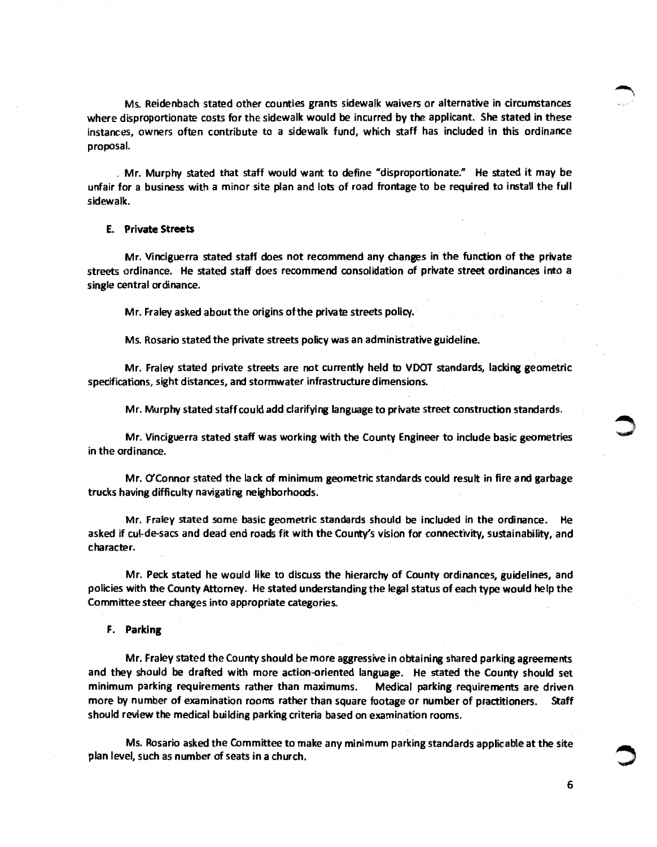Ms. Reidenbach stated other counties grants sidewalk waivers or alternative in circumstances where disproportionate costs for the sidewalk would be incurred by the applicant. She stated in these instances, owners often contribute to a sidewalk fund, which staff has included in this ordinance proposal.

, Mr. Murphy stated that staff would want to define "disproportionate." He stated it may be unfair for a business with a minor site plan and lots of road frontage to be required to install the full sidewalk.

## E. Private Streets

Mr. Vinciguerra stated staff does not recommend any changes in the function of the private streets ordinance. He stated staff does recommend consolidation of private street ordinances into a single central ordinance.

Mr. Fraley asked about the origins of the private streets policy.

Ms. Rosario stated the private streets policy was an administrative guideline.

Mr. Fraley stated private streets are not currently held to VDOT standards, lacking geometric specifications, sight distances, and stormwater infrastructure dimensions.

Mr. Murphy stated staff could add clarifying language to private street construction standards.

Mr. Vinciguerra stated staff was working with the County Engineer to include basic geometries in the ordinance.

Mr. O'Connor stated the lack of minimum geometric standards could result in fire and garbage trucks having difficulty navigating neighborhoods.

Mr. Fraley stated some basic geometric standards should be included in the ordinance. He asked if cui-de-sacs and dead end roads fit with the County's vision for connectivity, sustainability, and character.

Mr. Peck stated he would like to discuss the hierarchy of County ordinances, guidelines, and policies with the County Attorney. He stated understanding the legal status of each type would help the Committee steer changes into appropriate categories.

# F. Parking

Mr. Fraley stated the County should be more aggressive in obtaining shared parking agreements and they should be drafted with more action-oriented language. He stated the County should set minimum parking requirements rather than maximums. Medical parking requirements are driven more by number of examination rooms rather than square footage or number of practitioners. Staff should review the medical building parking criteria based on examination rooms.

Ms. Rosario asked the Committee to make any minimum parking standards applicable at the site plan level, such as number of seats in a church.